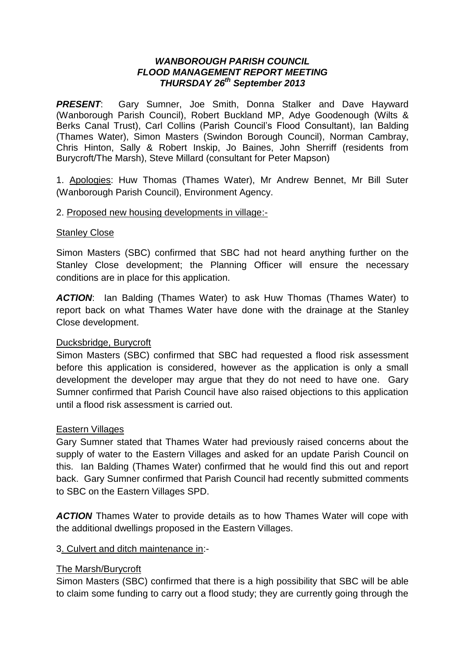#### *WANBOROUGH PARISH COUNCIL FLOOD MANAGEMENT REPORT MEETING THURSDAY 26th September 2013*

*PRESENT*: Gary Sumner, Joe Smith, Donna Stalker and Dave Hayward (Wanborough Parish Council), Robert Buckland MP, Adye Goodenough (Wilts & Berks Canal Trust), Carl Collins (Parish Council's Flood Consultant), Ian Balding (Thames Water), Simon Masters (Swindon Borough Council), Norman Cambray, Chris Hinton, Sally & Robert Inskip, Jo Baines, John Sherriff (residents from Burycroft/The Marsh), Steve Millard (consultant for Peter Mapson)

1. Apologies: Huw Thomas (Thames Water), Mr Andrew Bennet, Mr Bill Suter (Wanborough Parish Council), Environment Agency.

## 2. Proposed new housing developments in village:-

#### Stanley Close

Simon Masters (SBC) confirmed that SBC had not heard anything further on the Stanley Close development; the Planning Officer will ensure the necessary conditions are in place for this application.

*ACTION*: Ian Balding (Thames Water) to ask Huw Thomas (Thames Water) to report back on what Thames Water have done with the drainage at the Stanley Close development.

## Ducksbridge, Burycroft

Simon Masters (SBC) confirmed that SBC had requested a flood risk assessment before this application is considered, however as the application is only a small development the developer may argue that they do not need to have one. Gary Sumner confirmed that Parish Council have also raised objections to this application until a flood risk assessment is carried out.

#### Eastern Villages

Gary Sumner stated that Thames Water had previously raised concerns about the supply of water to the Eastern Villages and asked for an update Parish Council on this. Ian Balding (Thames Water) confirmed that he would find this out and report back. Gary Sumner confirmed that Parish Council had recently submitted comments to SBC on the Eastern Villages SPD.

*ACTION* Thames Water to provide details as to how Thames Water will cope with the additional dwellings proposed in the Eastern Villages.

## 3. Culvert and ditch maintenance in:-

## The Marsh/Burycroft

Simon Masters (SBC) confirmed that there is a high possibility that SBC will be able to claim some funding to carry out a flood study; they are currently going through the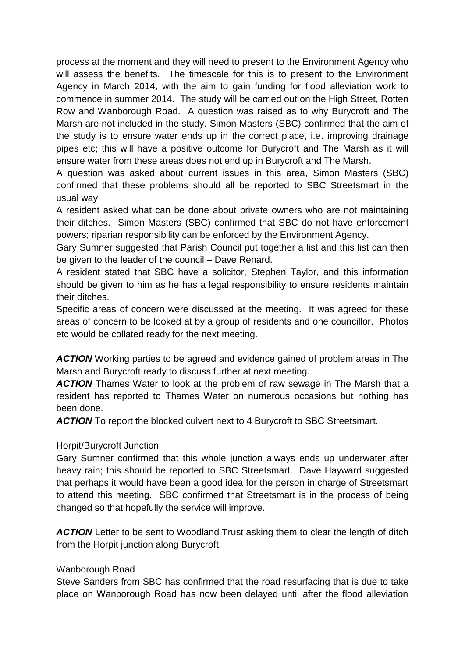process at the moment and they will need to present to the Environment Agency who will assess the benefits. The timescale for this is to present to the Environment Agency in March 2014, with the aim to gain funding for flood alleviation work to commence in summer 2014. The study will be carried out on the High Street, Rotten Row and Wanborough Road. A question was raised as to why Burycroft and The Marsh are not included in the study. Simon Masters (SBC) confirmed that the aim of the study is to ensure water ends up in the correct place, i.e. improving drainage pipes etc; this will have a positive outcome for Burycroft and The Marsh as it will ensure water from these areas does not end up in Burycroft and The Marsh.

A question was asked about current issues in this area, Simon Masters (SBC) confirmed that these problems should all be reported to SBC Streetsmart in the usual way.

A resident asked what can be done about private owners who are not maintaining their ditches. Simon Masters (SBC) confirmed that SBC do not have enforcement powers; riparian responsibility can be enforced by the Environment Agency.

Gary Sumner suggested that Parish Council put together a list and this list can then be given to the leader of the council – Dave Renard.

A resident stated that SBC have a solicitor, Stephen Taylor, and this information should be given to him as he has a legal responsibility to ensure residents maintain their ditches.

Specific areas of concern were discussed at the meeting. It was agreed for these areas of concern to be looked at by a group of residents and one councillor. Photos etc would be collated ready for the next meeting.

*ACTION* Working parties to be agreed and evidence gained of problem areas in The Marsh and Burycroft ready to discuss further at next meeting.

ACTION Thames Water to look at the problem of raw sewage in The Marsh that a resident has reported to Thames Water on numerous occasions but nothing has been done.

*ACTION* To report the blocked culvert next to 4 Burycroft to SBC Streetsmart.

## Horpit/Burycroft Junction

Gary Sumner confirmed that this whole junction always ends up underwater after heavy rain; this should be reported to SBC Streetsmart. Dave Hayward suggested that perhaps it would have been a good idea for the person in charge of Streetsmart to attend this meeting. SBC confirmed that Streetsmart is in the process of being changed so that hopefully the service will improve.

**ACTION** Letter to be sent to Woodland Trust asking them to clear the length of ditch from the Horpit junction along Burycroft.

## Wanborough Road

Steve Sanders from SBC has confirmed that the road resurfacing that is due to take place on Wanborough Road has now been delayed until after the flood alleviation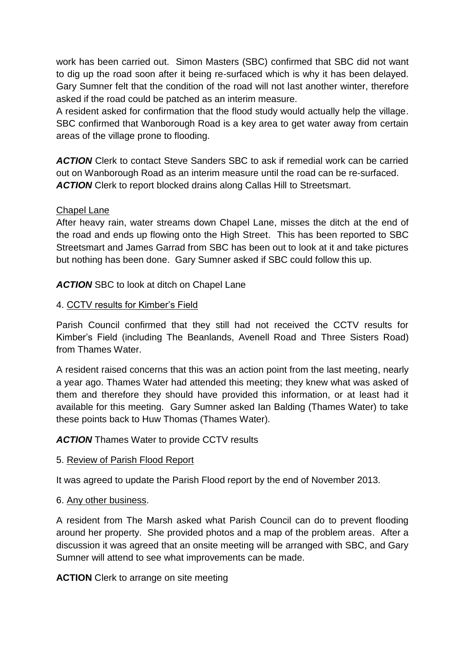work has been carried out. Simon Masters (SBC) confirmed that SBC did not want to dig up the road soon after it being re-surfaced which is why it has been delayed. Gary Sumner felt that the condition of the road will not last another winter, therefore asked if the road could be patched as an interim measure.

A resident asked for confirmation that the flood study would actually help the village. SBC confirmed that Wanborough Road is a key area to get water away from certain areas of the village prone to flooding.

*ACTION* Clerk to contact Steve Sanders SBC to ask if remedial work can be carried out on Wanborough Road as an interim measure until the road can be re-surfaced. ACTION Clerk to report blocked drains along Callas Hill to Streetsmart.

## Chapel Lane

After heavy rain, water streams down Chapel Lane, misses the ditch at the end of the road and ends up flowing onto the High Street. This has been reported to SBC Streetsmart and James Garrad from SBC has been out to look at it and take pictures but nothing has been done. Gary Sumner asked if SBC could follow this up.

ACTION SBC to look at ditch on Chapel Lane

# 4. CCTV results for Kimber's Field

Parish Council confirmed that they still had not received the CCTV results for Kimber's Field (including The Beanlands, Avenell Road and Three Sisters Road) from Thames Water

A resident raised concerns that this was an action point from the last meeting, nearly a year ago. Thames Water had attended this meeting; they knew what was asked of them and therefore they should have provided this information, or at least had it available for this meeting. Gary Sumner asked Ian Balding (Thames Water) to take these points back to Huw Thomas (Thames Water).

*ACTION* Thames Water to provide CCTV results

## 5. Review of Parish Flood Report

It was agreed to update the Parish Flood report by the end of November 2013.

# 6. Any other business.

A resident from The Marsh asked what Parish Council can do to prevent flooding around her property. She provided photos and a map of the problem areas. After a discussion it was agreed that an onsite meeting will be arranged with SBC, and Gary Sumner will attend to see what improvements can be made.

**ACTION** Clerk to arrange on site meeting